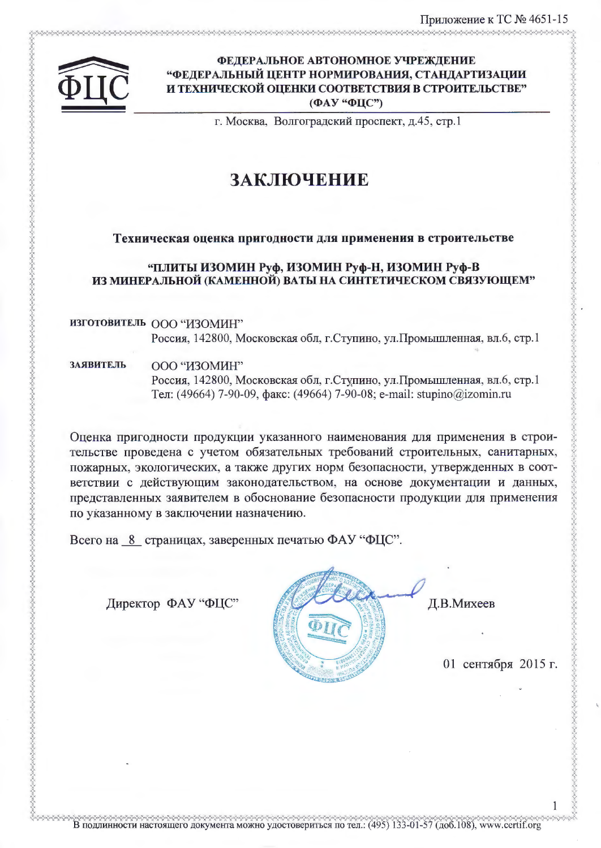

#### ФЕДЕРАЛЬНОЕ АВТОНОМНОЕ УЧРЕЖДЕНИЕ "ФЕДЕРАЛЬНЫЙ ЦЕНТР НОРМИРОВАНИЯ, СТАНДАРТИЗАЦИИ И ТЕХНИЧЕСКОЙ ОЦЕНКИ СООТВЕТСТВИЯ В СТРОИТЕЛЬСТВЕ" (ФАУ "ФЦС")

г. Москва, Волгоградский проспект, д.45, стр.1

# ЗАКЛЮЧЕНИЕ

#### Техническая оценка пригодности для применения в строительстве

#### "ПЛИТЫ ИЗОМИН Руф, ИЗОМИН Руф-Н, ИЗОМИН Руф-В ИЗ МИНЕРАЛЬНОЙ (КАМЕННОЙ) ВАТЫ НА СИНТЕТИЧЕСКОМ СВЯЗУЮЩЕМ"

# ИЗГОТОВИТЕЛЬ ООО "ИЗОМИН" Россия, 142800, Московская обл, г.Ступино, ул.Промышленная, вл.6, стр.1

**ЗАЯВИТЕЛЬ** ООО "ИЗОМИН" Россия, 142800, Московская обл, г.Ступино, ул.Промышленная, вл.6, стр.1 Тел: (49664) 7-90-09, факс: (49664) 7-90-08; e-mail: stupino@izomin.ru

Оценка пригодности продукции указанного наименования для применения в строительстве проведена с учетом обязательных требований строительных, санитарных, пожарных, экологических, а также других норм безопасности, утвержденных в соответствии с действующим законодательством, на основе документации и данных, представленных заявителем в обоснование безопасности продукции для применения по указанному в заключении назначению.

Всего на 8 страницах, заверенных печатью ФАУ "ФЦС".

Директор ФАУ "ФЦС"



Д.В.Михеев

01 сентября 2015 г.

В подлинности настоящего документа можно удостовериться по тел.: (495) 133-01-57 (доб.108), www.certif.org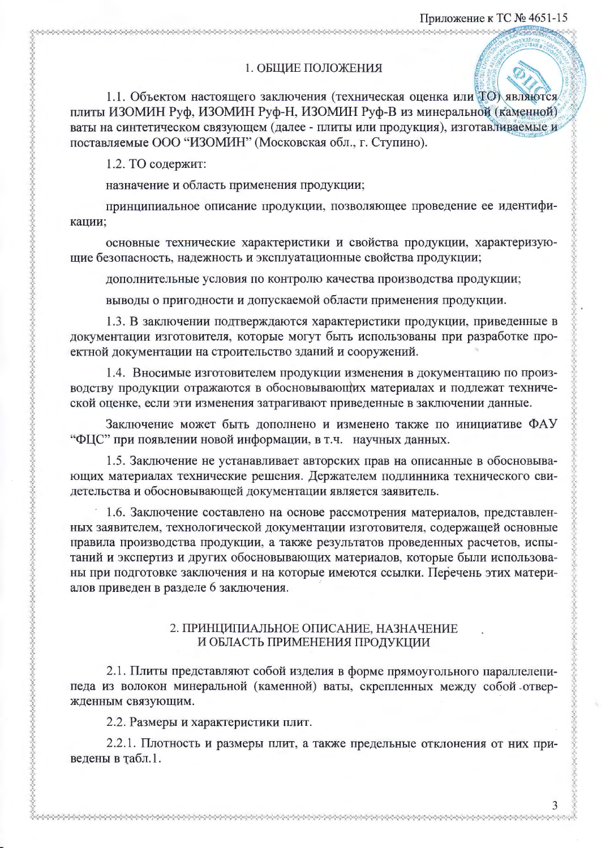### 1. ОБЩИЕ ПОЛОЖЕНИЯ

1.1. Объектом настоящего заключения (техническая оценка или ТО) являются плиты ИЗОМИН Руф, ИЗОМИН Руф-Н, ИЗОМИН Руф-В из минеральной (каменной) ваты на синтетическом связующем (далее - плиты или продукция), изготавливаемые и поставляемые ООО "ИЗОМИН" (Московская обл., г. Ступино).

1.2. ТО содержит:

назначение и область применения продукции;

принципиальное описание продукции, позволяющее проведение ее идентификации;

основные технические характеристики и свойства продукции, характеризующие безопасность, надежность и эксплуатационные свойства продукции;

дополнительные условия по контролю качества производства продукции;

выводы о пригодности и допускаемой области применения продукции.

1.3. В заключении подтверждаются характеристики продукции, приведенные в документации изготовителя, которые могут быть использованы при разработке проектной документации на строительство зданий и сооружений.

1.4. Вносимые изготовителем продукции изменения в документацию по производству продукции отражаются в обосновывающих материалах и подлежат технической оценке, если эти изменения затрагивают приведенные в заключении данные.

Заключение может быть дополнено и изменено также по инициативе ФАУ "ФЦС" при появлении новой информации, в т.ч. научных данных.

1.5. Заключение не устанавливает авторских прав на описанные в обосновывающих материалах технические решения. Держателем подлинника технического свидетельства и обосновывающей документации является заявитель.

1.6. Заключение составлено на основе рассмотрения материалов, представленных заявителем, технологической документации изготовителя, содержащей основные правила производства продукции, а также результатов проведенных расчетов, испытаний и экспертиз и других обосновывающих материалов, которые были использованы при подготовке заключения и на которые имеются ссылки. Перечень этих материалов приведен в разделе 6 заключения.

#### 2. ПРИНЦИПИАЛЬНОЕ ОПИСАНИЕ, НАЗНАЧЕНИЕ И ОБЛАСТЬ ПРИМЕНЕНИЯ ПРОДУКЦИИ

2.1. Плиты представляют собой изделия в форме прямоугольного параллеленипеда из волокон минеральной (каменной) ваты, скрепленных между собой отвержденным связующим.

2.2. Размеры и характеристики плит.

2.2.1. Плотность и размеры плит, а также предельные отклонения от них приведены в табл.1.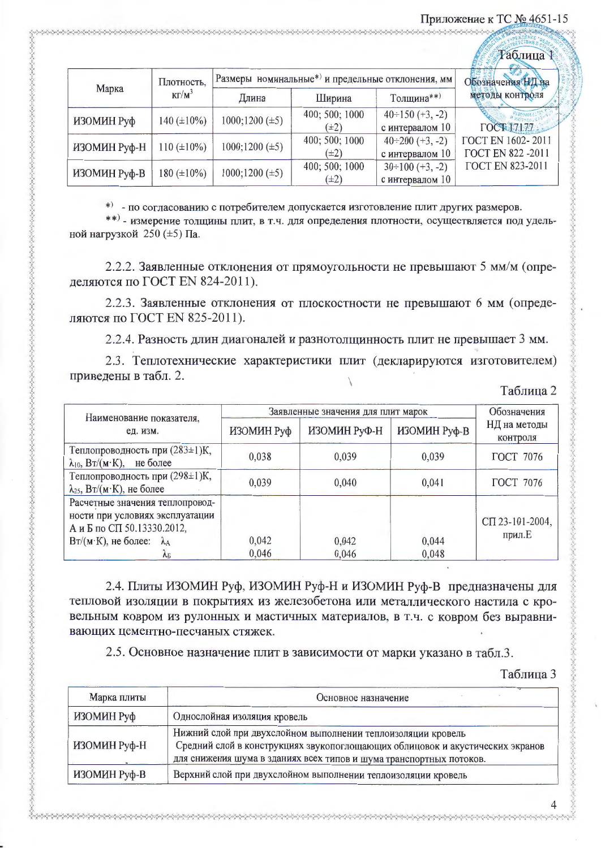### Приложение к ТС № 4651-15

**Subabada Sababababada da Sababada Sababada Sababada** 

| Таблица Т    |                  |                                                   |                |                        |                          |
|--------------|------------------|---------------------------------------------------|----------------|------------------------|--------------------------|
|              | Плотность,       | Размеры номинальные*) и предельные отклонения, мм |                |                        | Обозначения НД на        |
| Марка        | $KT/M^3$         | Длина                                             | Ширина         | Толщина**)             | методы контроля          |
| ИЗОМИН Руф   | 140 $(\pm 10\%)$ | $1000;1200 (\pm 5)$                               | 400; 500; 1000 | $40 \div 150 (+3, -2)$ |                          |
|              |                  |                                                   | $(\pm 2)$      | с интервалом 10        | <b>FOCT 17177</b>        |
| ИЗОМИН Руф-Н | $110 (\pm 10\%)$ | $1000;1200 (\pm 5)$                               | 400; 500; 1000 | $40\div 200$ (+3, -2)  | ГОСТ EN 1602-2011        |
|              |                  |                                                   | $(\pm 2)$      | с интервалом 10        | <b>FOCT EN 822 -2011</b> |
| ИЗОМИН Руф-В | $180 (\pm 10\%)$ | $1000;1200 (\pm 5)$                               | 400; 500; 1000 | $30 \div 100 (+3, -2)$ | <b>FOCT EN 823-2011</b>  |
|              |                  |                                                   | $(\pm 2)$      | с интервалом 10        |                          |

\* - по согласованию с потребителем допускается изготовление плит других размеров.

\*\*) - измерение толщины плит, в т.ч. для определения плотности, осуществляется под удельной нагрузкой 250 (±5) Па.

2.2.2. Заявленные отклонения от прямоугольности не превышают 5 мм/м (определяются по ГОСТ EN 824-2011).

2.2.3. Заявленные отклонения от плоскостности не превышают 6 мм (определяются по ГОСТ EN 825-2011).

2.2.4. Разность длин диагоналей и разнотолщинность плит не превышает 3 мм.

2.3. Теплотехнические характеристики плит (декларируются изготовителем) приведены в табл. 2.

|  |  |  | Габлица 2 |  |  |
|--|--|--|-----------|--|--|
|--|--|--|-----------|--|--|

| Наименование показателя,                                                                                                                                            | Заявленные значения для плит марок | Обозначения    |                |                           |  |
|---------------------------------------------------------------------------------------------------------------------------------------------------------------------|------------------------------------|----------------|----------------|---------------------------|--|
| ед. изм.                                                                                                                                                            | ИЗОМИН Руф                         | ИЗОМИН РуФ-Н   | ИЗОМИН Руф-В   | НД на методы<br>контроля  |  |
| Теплопроводность при (283±1)К,<br>$\lambda_{10}$ , $Br/(M·K)$ ,<br>не более                                                                                         | 0,038                              | 0,039          | 0,039          | ГОСТ 7076                 |  |
| Теплопроводность при (298±1)К,<br>$\lambda_{25}$ , Вт/(м·К), не более                                                                                               | 0.039                              | 0,040          | 0,041          | <b>ГОСТ 7076</b>          |  |
| Расчетные значения теплопровод-<br>ности при условиях эксплуатации<br>А и Б по СП 50.13330.2012,<br>$Br/(M·K)$ , не более:<br>$\lambda_A$<br>$\Lambda$ <sub>5</sub> | 0,042<br>0,046                     | 0,042<br>0,046 | 0,044<br>0,048 | СП 23-101-2004,<br>прил.Е |  |

2.4. Плиты ИЗОМИН Руф, ИЗОМИН Руф-Н и ИЗОМИН Руф-В предназначены для тепловой изоляции в покрытиях из железобетона или металлического настила с кровельным ковром из рулонных и мастичных материалов, в т.ч. с ковром без выравнивающих цементно-песчаных стяжек.

2.5. Основное назначение плит в зависимости от марки указано в табл.3.

Таблина 3

| Марка плиты  | Основное назначение                                                                                                                                                                                                  |
|--------------|----------------------------------------------------------------------------------------------------------------------------------------------------------------------------------------------------------------------|
| ИЗОМИН Руф   | Однослойная изоляция кровель                                                                                                                                                                                         |
| ИЗОМИН Руф-Н | Нижний слой при двухслойном выполнении теплоизоляции кровель<br>Средний слой в конструкциях звукопоглощающих облицовок и акустических экранов<br>для снижения шума в зданиях всех типов и шума транспортных потоков. |
| ИЗОМИН Руф-В | Верхний слой при двухслойном выполнении теплоизоляции кровель                                                                                                                                                        |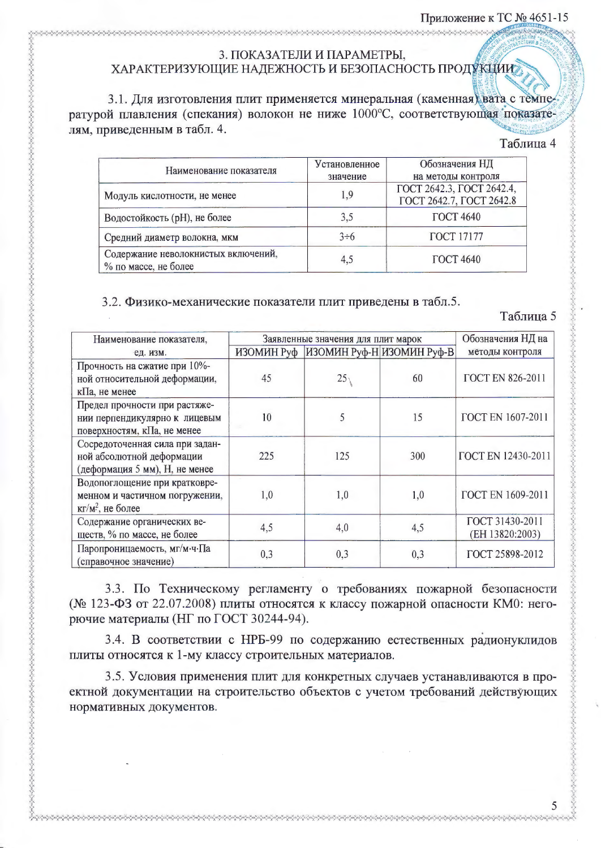## 3. ПОКАЗАТЕЛИ И ПАРАМЕТРЫ. ХАРАКТЕРИЗУЮЩИЕ НАДЕЖНОСТЬ И БЕЗОПАСНОСТЬ ПРОДУКЦИИ

3.1. Для изготовления плит применяется минеральная (каменная) вата с температурой плавления (спекания) волокон не ниже 1000°С, соответствующая показателям, приведенным в табл. 4.

#### Таблица 4

| Наименование показателя                                     | Установленное<br>значение | Обозначения НД<br>на методы контроля                  |
|-------------------------------------------------------------|---------------------------|-------------------------------------------------------|
| Модуль кислотности, не менее                                | 1,9                       | ГОСТ 2642.3, ГОСТ 2642.4,<br>ГОСТ 2642.7, ГОСТ 2642.8 |
| Водостойкость (рН), не более                                | 3,5                       | <b>ГОСТ 4640</b>                                      |
| Средний диаметр волокна, мкм                                | $3 \div 6$                | <b>ГОСТ 17177</b>                                     |
| Содержание неволокнистых включений,<br>% по массе, не более | 4,5                       | <b>ГОСТ 4640</b>                                      |

#### 3.2. Физико-механические показатели плит приведены в табл.5.

NANAN NANAN NANAN NANAN NANAN NANAN NANAN NANAN NANAN NANAN NANAN NANAN NANAN NANAN NANAN NANAN NANAN NANAN NANAN NANAN NANAN NANAN NANAN NANAN NANAN NANAN NANAN NANAN NANAN NANAN NANAN NANAN NANAN NANAN NANAN NANAN NANAN

Таблица 5

| Наименование показателя,                                                                            | Заявленные значения для плит марок |                                      |     | Обозначения НД на                  |
|-----------------------------------------------------------------------------------------------------|------------------------------------|--------------------------------------|-----|------------------------------------|
| ед. изм.                                                                                            |                                    | ИЗОМИН Руф ИЗОМИН Руф-Н ИЗОМИН Руф-В |     | методы контроля                    |
| Прочность на сжатие при 10%-<br>ной относительной деформации,<br>кПа, не менее                      | 45                                 | 25                                   | 60  | <b>FOCT EN 826-2011</b>            |
| Предел прочности при растяже-<br>нии перпендикулярно к лицевым<br>поверхностям, кПа, не менее       | 10                                 | 5                                    | 15  | ГОСТ EN 1607-2011                  |
| Сосредоточенная сила при задан-<br>ной абсолютной деформации<br>(деформация 5 мм), Н, не менее      | 225                                | 125                                  | 300 | <b>FOCT EN 12430-2011</b>          |
| Водопоглощение при кратковре-<br>менном и частичном погружении,<br>$\kappa \Gamma / M^2$ , не более | 1,0                                | 1,0                                  | 1,0 | ГОСТ EN 1609-2011                  |
| Содержание органических ве-<br>ществ, % по массе, не более                                          | 4,5                                | 4,0                                  | 4,5 | ГОСТ 31430-2011<br>(EH 13820:2003) |
| Паропроницаемость, мг/м·ч·Па<br>(справочное значение)                                               | 0,3                                | 0,3                                  | 0,3 | ГОСТ 25898-2012                    |

3.3. По Техническому регламенту о требованиях пожарной безопасности (№ 123-ФЗ от 22.07.2008) плиты относятся к классу пожарной опасности КМ0: негорючие материалы (НГ по ГОСТ 30244-94).

3.4. В соответствии с НРБ-99 по содержанию естественных радионуклидов плиты относятся к 1-му классу строительных материалов.

3.5. Условия применения плит для конкретных случаев устанавливаются в проектной документации на строительство объектов с учетом требований действующих нормативных документов.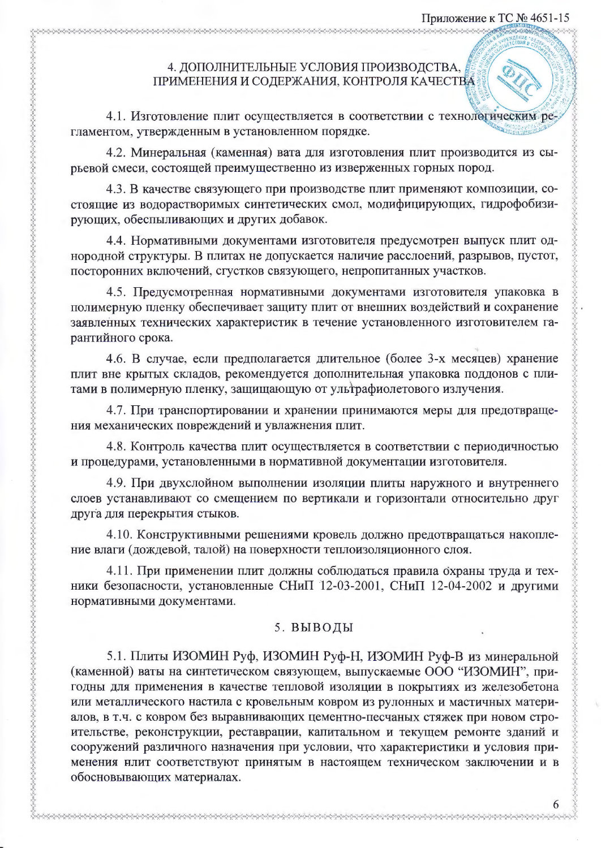# 4. ДОПОЛНИТЕЛЬНЫЕ УСЛОВИЯ ПРОИЗВОДСТВА, ПРИМЕНЕНИЯ И СОДЕРЖАНИЯ, КОНТРОЛЯ КАЧЕСТВА

4.1. Изготовление плит осуществляется в соответствии с технологическим ре гламентом, утвержденным в установленном порядке.

4.2. Минеральная (каменная) вата для изготовления плит производится из сырьевой смеси, состоящей преимущественно из изверженных горных пород.

4.3. В качестве связующего при производстве плит применяют композиции, состоящие из водорастворимых синтетических смол, модифицирующих, гидрофобизирующих, обеспыливающих и других добавок.

4.4. Нормативными документами изготовителя предусмотрен выпуск плит однородной структуры. В плитах не допускается наличие расслоений, разрывов, пустот, посторонних включений, сгустков связующего, непропитанных участков.

4.5. Предусмотренная нормативными документами изготовителя упаковка в полимерную пленку обеспечивает защиту плит от внешних воздействий и сохранение заявленных технических характеристик в течение установленного изготовителем гарантийного срока.

4.6. В случае, если предполагается длительное (более 3-х месяцев) хранение плит вне крытых складов, рекомендуется дополнительная упаковка поддонов с плитами в полимерную пленку, защищающую от ультрафиолетового излучения.

4.7. При транспортировании и хранении принимаются меры для предотвращения механических повреждений и увлажнения плит.

4.8. Контроль качества плит осуществляется в соответствии с периодичностью и процедурами, установленными в нормативной документации изготовителя.

4.9. При двухслойном выполнении изоляции плиты наружного и внутреннего слоев устанавливают со смещением по вертикали и горизонтали относительно друг друга для перекрытия стыков.

4.10. Конструктивными решениями кровель должно предотвращаться накопление влаги (дождевой, талой) на поверхности теплоизоляционного слоя.

4.11. При применении плит должны соблюдаться правила охраны труда и техники безопасности, установленные СНиП 12-03-2001, СНиП 12-04-2002 и другими нормативными документами.

## 5. ВЫВОДЫ

5.1. Плиты ИЗОМИН Руф, ИЗОМИН Руф-Н, ИЗОМИН Руф-В из минеральной (каменной) ваты на синтетическом связующем, выпускаемые ООО "ИЗОМИН", пригодны для применения в качестве тепловой изоляции в покрытиях из железобетона или металлического настила с кровельным ковром из рулонных и мастичных материалов, в т.ч. с ковром без выравнивающих цементно-песчаных стяжек при новом строительстве, реконструкции, реставрации, капитальном и текущем ремонте зданий и сооружений различного назначения при условии, что характеристики и условия применения нлит соответствуют принятым в настоящем техническом заключении и в обосновывающих материалах.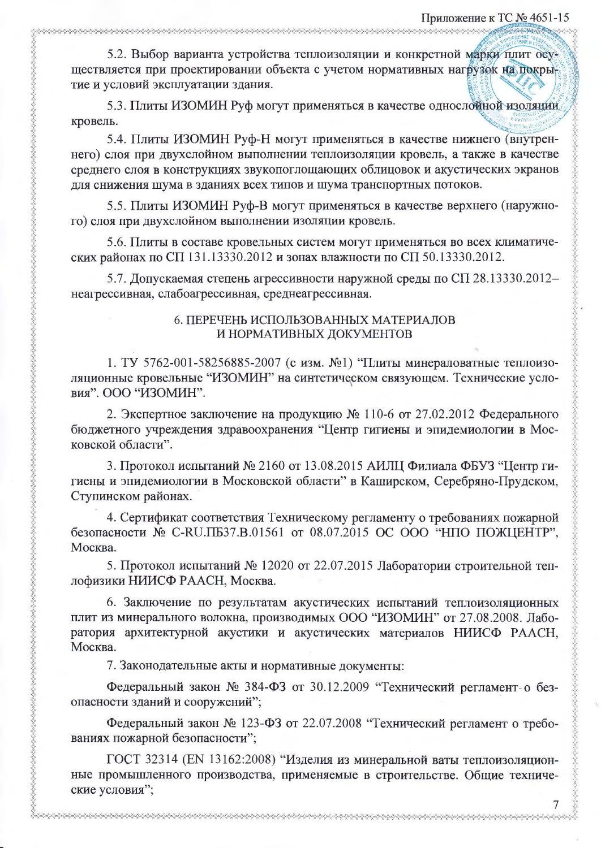5.2. Выбор варианта устройства теплоизоляции и конкретной марки плит осуществляется при проектировании объекта с учетом нормативных нагрузок на покрытие и условий эксплуатации здания.

5.3. Плиты ИЗОМИН Руф могут применяться в качестве однослойной изоляции кровель.

5.4. Плиты ИЗОМИН Руф-Н могут применяться в качестве нижнего (внутреннего) слоя при двухслойном выполнении теплоизоляции кровель, а также в качестве среднего слоя в конструкциях звукопоглощающих облицовок и акустических экранов для снижения шума в зданиях всех типов и шума транспортных потоков.

5.5. Плиты ИЗОМИН Руф-В могут применяться в качестве верхнего (наружного) слоя при двухслойном выполнении изоляции кровель.

5.6. Плиты в составе кровельных систем могут применяться во всех климатических районах по СП 131.13330.2012 и зонах влажности по СП 50.13330.2012.

5.7. Допускаемая степень агрессивности наружной среды по СП 28.13330.2012неагрессивная, слабоагрессивная, среднеагрессивная.

### 6. ПЕРЕЧЕНЬ ИСПОЛЬЗОВАННЫХ МАТЕРИАЛОВ И НОРМАТИВНЫХ ДОКУМЕНТОВ

1. ТУ 5762-001-58256885-2007 (с изм. №1) "Плиты минераловатные теплоизоляционные кровельные "ИЗОМИН" на синтетическом связующем. Технические условия". ООО "ИЗОМИН".

2. Экспертное заключение на продукцию № 110-6 от 27.02.2012 Федерального бюджетного учреждения здравоохранения "Центр гигиены и эпидемиологии в Московской области".

3. Протокол испытаний № 2160 от 13.08.2015 АИЛЦ Филиала ФБУЗ "Центр гигиены и эпидемиологии в Московской области" в Каширском, Серебряно-Прудском, Ступинском районах.

4. Сертификат соответствия Техническому регламенту о требованиях пожарной безопасности № С-RU.ПБ37.В.01561 от 08.07.2015 ОС ООО "НПО ПОЖЦЕНТР", Москва.

5. Протокол испытаний № 12020 от 22.07.2015 Лаборатории строительной теплофизики НИИСФ РААСН, Москва.

6. Заключение по результатам акустических испытаний теплоизоляционных плит из минерального волокна, производимых ООО "ИЗОМИН" от 27.08.2008. Лаборатория архитектурной акустики и акустических материалов НИИСФ РААСН, Москва.

7. Законодательные акты и нормативные документы:

Федеральный закон № 384-ФЗ от 30.12.2009 "Технический регламент-о безопасности зданий и сооружений";

Федеральный закон № 123-ФЗ от 22.07.2008 "Технический регламент о требованиях пожарной безопасности";

ГОСТ 32314 (EN 13162:2008) "Изделия из минеральной ваты теплоизоляционные промышленного производства, применяемые в строительстве. Общие технические условия";